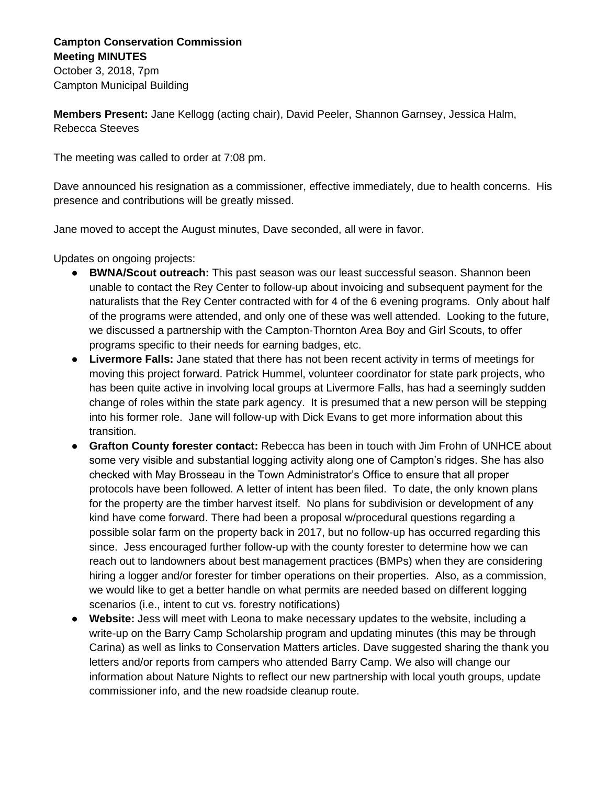## **Campton Conservation Commission Meeting MINUTES**

October 3, 2018, 7pm Campton Municipal Building

**Members Present:** Jane Kellogg (acting chair), David Peeler, Shannon Garnsey, Jessica Halm, Rebecca Steeves

The meeting was called to order at 7:08 pm.

Dave announced his resignation as a commissioner, effective immediately, due to health concerns. His presence and contributions will be greatly missed.

Jane moved to accept the August minutes, Dave seconded, all were in favor.

Updates on ongoing projects:

- **BWNA/Scout outreach:** This past season was our least successful season. Shannon been unable to contact the Rey Center to follow-up about invoicing and subsequent payment for the naturalists that the Rey Center contracted with for 4 of the 6 evening programs. Only about half of the programs were attended, and only one of these was well attended. Looking to the future, we discussed a partnership with the Campton-Thornton Area Boy and Girl Scouts, to offer programs specific to their needs for earning badges, etc.
- **Livermore Falls:** Jane stated that there has not been recent activity in terms of meetings for moving this project forward. Patrick Hummel, volunteer coordinator for state park projects, who has been quite active in involving local groups at Livermore Falls, has had a seemingly sudden change of roles within the state park agency. It is presumed that a new person will be stepping into his former role. Jane will follow-up with Dick Evans to get more information about this transition.
- **Grafton County forester contact:** Rebecca has been in touch with Jim Frohn of UNHCE about some very visible and substantial logging activity along one of Campton's ridges. She has also checked with May Brosseau in the Town Administrator's Office to ensure that all proper protocols have been followed. A letter of intent has been filed. To date, the only known plans for the property are the timber harvest itself. No plans for subdivision or development of any kind have come forward. There had been a proposal w/procedural questions regarding a possible solar farm on the property back in 2017, but no follow-up has occurred regarding this since. Jess encouraged further follow-up with the county forester to determine how we can reach out to landowners about best management practices (BMPs) when they are considering hiring a logger and/or forester for timber operations on their properties. Also, as a commission, we would like to get a better handle on what permits are needed based on different logging scenarios (i.e., intent to cut vs. forestry notifications)
- **Website:** Jess will meet with Leona to make necessary updates to the website, including a write-up on the Barry Camp Scholarship program and updating minutes (this may be through Carina) as well as links to Conservation Matters articles. Dave suggested sharing the thank you letters and/or reports from campers who attended Barry Camp. We also will change our information about Nature Nights to reflect our new partnership with local youth groups, update commissioner info, and the new roadside cleanup route.